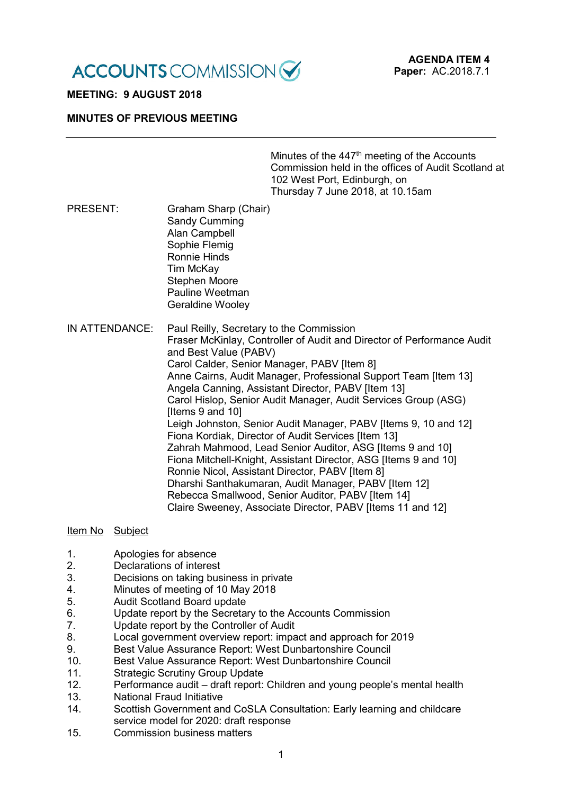**ACCOUNTS** COMMISSION

# **MEETING: 9 AUGUST 2018**

#### **MINUTES OF PREVIOUS MEETING**

Minutes of the 447<sup>th</sup> meeting of the Accounts Commission held in the offices of Audit Scotland at 102 West Port, Edinburgh, on Thursday 7 June 2018, at 10.15am

- PRESENT: Graham Sharp (Chair) Sandy Cumming Alan Campbell Sophie Flemig Ronnie Hinds Tim McKay Stephen Moore Pauline Weetman Geraldine Wooley
- IN ATTENDANCE: Paul Reilly, Secretary to the Commission Fraser McKinlay, Controller of Audit and Director of Performance Audit and Best Value (PABV) Carol Calder, Senior Manager, PABV [Item 8] Anne Cairns, Audit Manager, Professional Support Team [Item 13] Angela Canning, Assistant Director, PABV [Item 13] Carol Hislop, Senior Audit Manager, Audit Services Group (ASG) Iltems 9 and 101 Leigh Johnston, Senior Audit Manager, PABV [Items 9, 10 and 12] Fiona Kordiak, Director of Audit Services [Item 13] Zahrah Mahmood, Lead Senior Auditor, ASG [Items 9 and 10] Fiona Mitchell-Knight, Assistant Director, ASG [Items 9 and 10] Ronnie Nicol, Assistant Director, PABV [Item 8] Dharshi Santhakumaran, Audit Manager, PABV [Item 12] Rebecca Smallwood, Senior Auditor, PABV [Item 14] Claire Sweeney, Associate Director, PABV [Items 11 and 12]

#### Item No Subject

- 1. Apologies for absence<br>2. Declarations of interest
- Declarations of interest
- 3. Decisions on taking business in private
- 4. Minutes of meeting of 10 May 2018
- 5. Audit Scotland Board update
- 6. Update report by the Secretary to the Accounts Commission
- 7. Update report by the Controller of Audit
- 8. Local government overview report: impact and approach for 2019
- 9. Best Value Assurance Report: West Dunbartonshire Council
- 10. Best Value Assurance Report: West Dunbartonshire Council
- 11. Strategic Scrutiny Group Update
- 12. Performance audit draft report: Children and young people's mental health
- 13. National Fraud Initiative
- 14. Scottish Government and CoSLA Consultation: Early learning and childcare service model for 2020: draft response
- 15. Commission business matters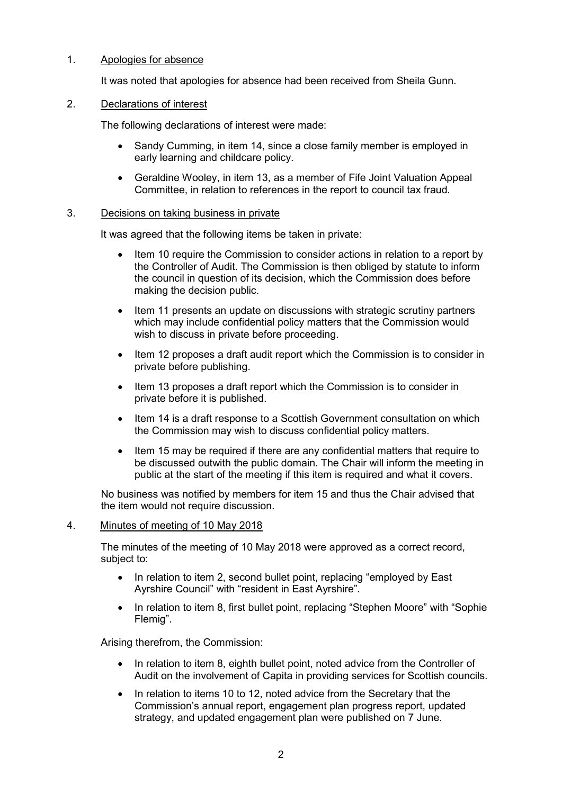# 1. Apologies for absence

It was noted that apologies for absence had been received from Sheila Gunn.

#### 2. Declarations of interest

The following declarations of interest were made:

- Sandy Cumming, in item 14, since a close family member is employed in early learning and childcare policy.
- Geraldine Wooley, in item 13, as a member of Fife Joint Valuation Appeal Committee, in relation to references in the report to council tax fraud.

#### 3. Decisions on taking business in private

It was agreed that the following items be taken in private:

- Item 10 require the Commission to consider actions in relation to a report by the Controller of Audit. The Commission is then obliged by statute to inform the council in question of its decision, which the Commission does before making the decision public.
- Item 11 presents an update on discussions with strategic scrutiny partners which may include confidential policy matters that the Commission would wish to discuss in private before proceeding.
- Item 12 proposes a draft audit report which the Commission is to consider in private before publishing.
- Item 13 proposes a draft report which the Commission is to consider in private before it is published.
- Item 14 is a draft response to a Scottish Government consultation on which the Commission may wish to discuss confidential policy matters.
- Item 15 may be required if there are any confidential matters that require to be discussed outwith the public domain. The Chair will inform the meeting in public at the start of the meeting if this item is required and what it covers.

No business was notified by members for item 15 and thus the Chair advised that the item would not require discussion.

#### 4. Minutes of meeting of 10 May 2018

The minutes of the meeting of 10 May 2018 were approved as a correct record, subject to:

- In relation to item 2, second bullet point, replacing "employed by East" Ayrshire Council" with "resident in East Ayrshire".
- In relation to item 8, first bullet point, replacing "Stephen Moore" with "Sophie Flemig".

Arising therefrom, the Commission:

- In relation to item 8, eighth bullet point, noted advice from the Controller of Audit on the involvement of Capita in providing services for Scottish councils.
- In relation to items 10 to 12, noted advice from the Secretary that the Commission's annual report, engagement plan progress report, updated strategy, and updated engagement plan were published on 7 June.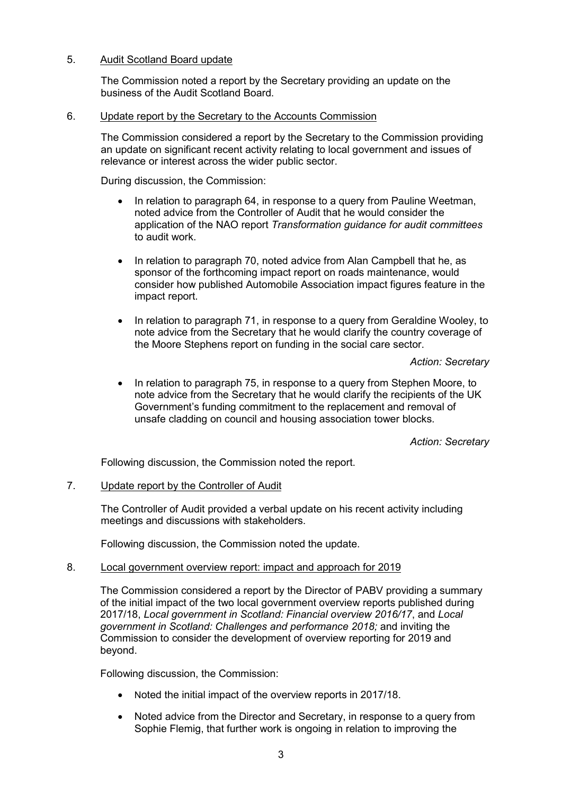# 5. Audit Scotland Board update

The Commission noted a report by the Secretary providing an update on the business of the Audit Scotland Board.

#### 6. Update report by the Secretary to the Accounts Commission

The Commission considered a report by the Secretary to the Commission providing an update on significant recent activity relating to local government and issues of relevance or interest across the wider public sector.

During discussion, the Commission:

- In relation to paragraph 64, in response to a query from Pauline Weetman, noted advice from the Controller of Audit that he would consider the application of the NAO report *Transformation guidance for audit committees* to audit work.
- In relation to paragraph 70, noted advice from Alan Campbell that he, as sponsor of the forthcoming impact report on roads maintenance, would consider how published Automobile Association impact figures feature in the impact report.
- In relation to paragraph 71, in response to a query from Geraldine Wooley, to note advice from the Secretary that he would clarify the country coverage of the Moore Stephens report on funding in the social care sector.

*Action: Secretary*

• In relation to paragraph 75, in response to a query from Stephen Moore, to note advice from the Secretary that he would clarify the recipients of the UK Government's funding commitment to the replacement and removal of unsafe cladding on council and housing association tower blocks.

*Action: Secretary*

Following discussion, the Commission noted the report.

# 7. Update report by the Controller of Audit

The Controller of Audit provided a verbal update on his recent activity including meetings and discussions with stakeholders.

Following discussion, the Commission noted the update.

# 8. Local government overview report: impact and approach for 2019

The Commission considered a report by the Director of PABV providing a summary of the initial impact of the two local government overview reports published during 2017/18, *Local government in Scotland: Financial overview 2016/17*, and *Local government in Scotland: Challenges and performance 2018;* and inviting the Commission to consider the development of overview reporting for 2019 and beyond.

Following discussion, the Commission:

- Noted the initial impact of the overview reports in 2017/18.
- Noted advice from the Director and Secretary, in response to a query from Sophie Flemig, that further work is ongoing in relation to improving the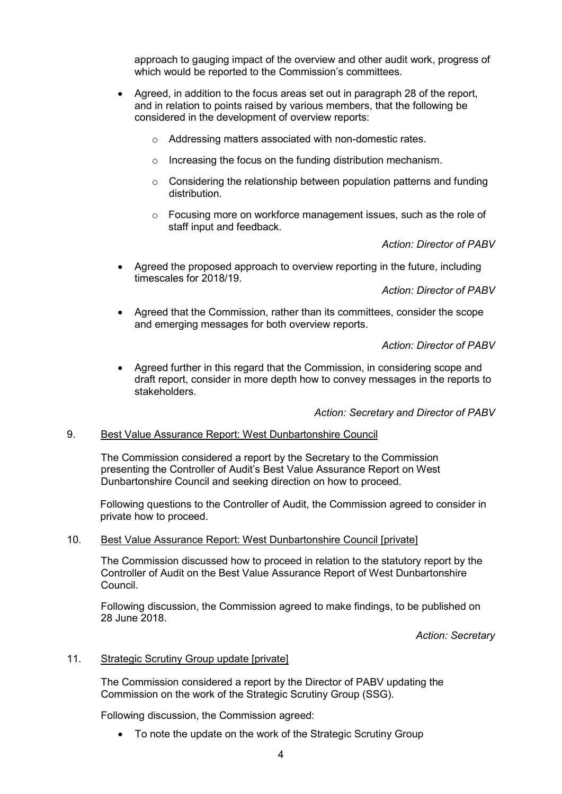approach to gauging impact of the overview and other audit work, progress of which would be reported to the Commission's committees.

- Agreed, in addition to the focus areas set out in paragraph 28 of the report, and in relation to points raised by various members, that the following be considered in the development of overview reports:
	- o Addressing matters associated with non-domestic rates.
	- o Increasing the focus on the funding distribution mechanism.
	- o Considering the relationship between population patterns and funding distribution.
	- o Focusing more on workforce management issues, such as the role of staff input and feedback.

*Action: Director of PABV*

• Agreed the proposed approach to overview reporting in the future, including timescales for 2018/19.

*Action: Director of PABV*

• Agreed that the Commission, rather than its committees, consider the scope and emerging messages for both overview reports.

*Action: Director of PABV*

• Agreed further in this regard that the Commission, in considering scope and draft report, consider in more depth how to convey messages in the reports to stakeholders.

*Action: Secretary and Director of PABV*

#### 9. Best Value Assurance Report: West Dunbartonshire Council

The Commission considered a report by the Secretary to the Commission presenting the Controller of Audit's Best Value Assurance Report on West Dunbartonshire Council and seeking direction on how to proceed.

Following questions to the Controller of Audit, the Commission agreed to consider in private how to proceed.

#### 10. Best Value Assurance Report: West Dunbartonshire Council [private]

The Commission discussed how to proceed in relation to the statutory report by the Controller of Audit on the Best Value Assurance Report of West Dunbartonshire Council.

Following discussion, the Commission agreed to make findings, to be published on 28 June 2018.

*Action: Secretary*

#### 11. Strategic Scrutiny Group update [private]

The Commission considered a report by the Director of PABV updating the Commission on the work of the Strategic Scrutiny Group (SSG).

Following discussion, the Commission agreed:

• To note the update on the work of the Strategic Scrutiny Group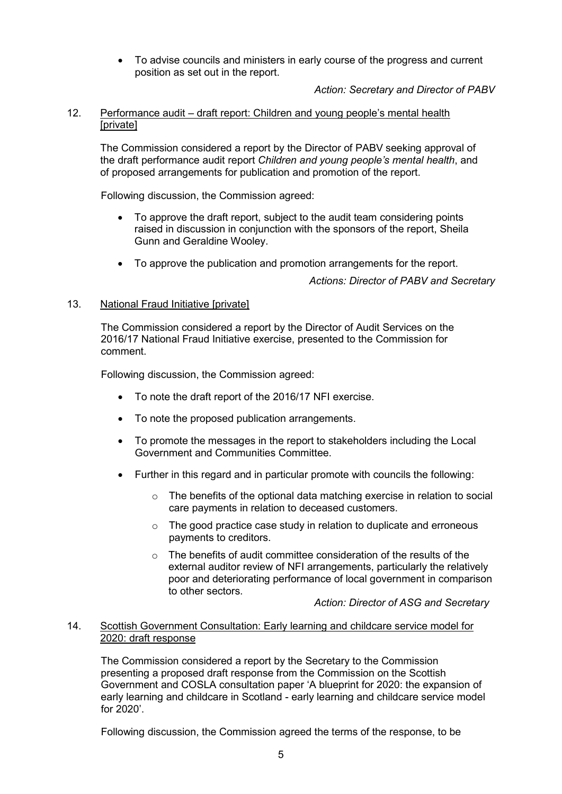• To advise councils and ministers in early course of the progress and current position as set out in the report.

*Action: Secretary and Director of PABV*

# 12. Performance audit – draft report: Children and young people's mental health [private]

The Commission considered a report by the Director of PABV seeking approval of the draft performance audit report *Children and young people's mental health*, and of proposed arrangements for publication and promotion of the report.

Following discussion, the Commission agreed:

- To approve the draft report, subject to the audit team considering points raised in discussion in conjunction with the sponsors of the report, Sheila Gunn and Geraldine Wooley.
- To approve the publication and promotion arrangements for the report.

*Actions: Director of PABV and Secretary*

# 13. National Fraud Initiative [private]

The Commission considered a report by the Director of Audit Services on the 2016/17 National Fraud Initiative exercise, presented to the Commission for comment.

Following discussion, the Commission agreed:

- To note the draft report of the 2016/17 NFI exercise.
- To note the proposed publication arrangements.
- To promote the messages in the report to stakeholders including the Local Government and Communities Committee.
- Further in this regard and in particular promote with councils the following:
	- o The benefits of the optional data matching exercise in relation to social care payments in relation to deceased customers.
	- o The good practice case study in relation to duplicate and erroneous payments to creditors.
	- $\circ$  The benefits of audit committee consideration of the results of the external auditor review of NFI arrangements, particularly the relatively poor and deteriorating performance of local government in comparison to other sectors.

*Action: Director of ASG and Secretary*

# 14. Scottish Government Consultation: Early learning and childcare service model for 2020: draft response

The Commission considered a report by the Secretary to the Commission presenting a proposed draft response from the Commission on the Scottish Government and COSLA consultation paper 'A blueprint for 2020: the expansion of early learning and childcare in Scotland - early learning and childcare service model for 2020'.

Following discussion, the Commission agreed the terms of the response, to be